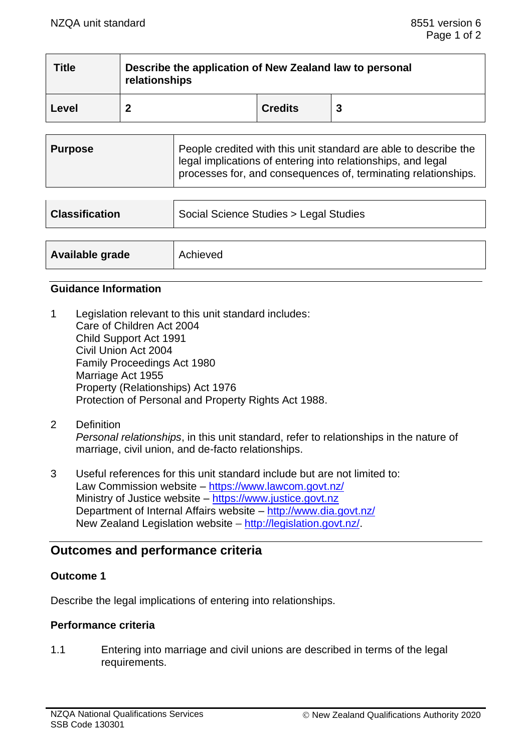| <b>Title</b> | Describe the application of New Zealand law to personal<br>relationships |                |   |  |  |
|--------------|--------------------------------------------------------------------------|----------------|---|--|--|
| Level        |                                                                          | <b>Credits</b> | 3 |  |  |

| <b>Purpose</b> | People credited with this unit standard are able to describe the<br>legal implications of entering into relationships, and legal<br>processes for, and consequences of, terminating relationships. |
|----------------|----------------------------------------------------------------------------------------------------------------------------------------------------------------------------------------------------|
|                |                                                                                                                                                                                                    |

| <b>Classification</b> | Social Science Studies > Legal Studies |  |
|-----------------------|----------------------------------------|--|
|                       |                                        |  |
| Available grade       | Achieved                               |  |

#### **Guidance Information**

- 1 Legislation relevant to this unit standard includes: Care of Children Act 2004 Child Support Act 1991 Civil Union Act 2004 Family Proceedings Act 1980 Marriage Act 1955 Property (Relationships) Act 1976 Protection of Personal and Property Rights Act 1988.
- 2 Definition *Personal relationships*, in this unit standard, refer to relationships in the nature of marriage, civil union, and de-facto relationships.
- 3 Useful references for this unit standard include but are not limited to: Law Commission website – <https://www.lawcom.govt.nz/> Ministry of Justice website - [https://www.justice.govt.nz](https://www.justice.govt.nz/) Department of Internal Affairs website – <http://www.dia.govt.nz/> New Zealand Legislation website – [http://legislation.govt.nz/.](http://legislation.govt.nz/)

# **Outcomes and performance criteria**

### **Outcome 1**

Describe the legal implications of entering into relationships.

#### **Performance criteria**

1.1 Entering into marriage and civil unions are described in terms of the legal requirements.